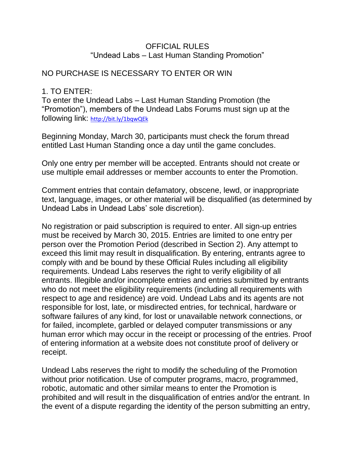#### OFFICIAL RULES "Undead Labs – Last Human Standing Promotion"

## NO PURCHASE IS NECESSARY TO ENTER OR WIN

#### 1. TO ENTER:

To enter the Undead Labs – Last Human Standing Promotion (the "Promotion"), members of the Undead Labs Forums must sign up at the following link: <http://bit.ly/1bqwQEk>

Beginning Monday, March 30, participants must check the forum thread entitled Last Human Standing once a day until the game concludes.

Only one entry per member will be accepted. Entrants should not create or use multiple email addresses or member accounts to enter the Promotion.

Comment entries that contain defamatory, obscene, lewd, or inappropriate text, language, images, or other material will be disqualified (as determined by Undead Labs in Undead Labs' sole discretion).

No registration or paid subscription is required to enter. All sign-up entries must be received by March 30, 2015. Entries are limited to one entry per person over the Promotion Period (described in Section 2). Any attempt to exceed this limit may result in disqualification. By entering, entrants agree to comply with and be bound by these Official Rules including all eligibility requirements. Undead Labs reserves the right to verify eligibility of all entrants. Illegible and/or incomplete entries and entries submitted by entrants who do not meet the eligibility requirements (including all requirements with respect to age and residence) are void. Undead Labs and its agents are not responsible for lost, late, or misdirected entries, for technical, hardware or software failures of any kind, for lost or unavailable network connections, or for failed, incomplete, garbled or delayed computer transmissions or any human error which may occur in the receipt or processing of the entries. Proof of entering information at a website does not constitute proof of delivery or receipt.

Undead Labs reserves the right to modify the scheduling of the Promotion without prior notification. Use of computer programs, macro, programmed, robotic, automatic and other similar means to enter the Promotion is prohibited and will result in the disqualification of entries and/or the entrant. In the event of a dispute regarding the identity of the person submitting an entry,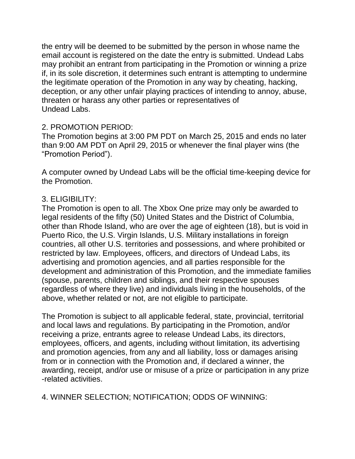the entry will be deemed to be submitted by the person in whose name the email account is registered on the date the entry is submitted. Undead Labs may prohibit an entrant from participating in the Promotion or winning a prize if, in its sole discretion, it determines such entrant is attempting to undermine the legitimate operation of the Promotion in any way by cheating, hacking, deception, or any other unfair playing practices of intending to annoy, abuse, threaten or harass any other parties or representatives of Undead Labs.

## 2. PROMOTION PERIOD:

The Promotion begins at 3:00 PM PDT on March 25, 2015 and ends no later than 9:00 AM PDT on April 29, 2015 or whenever the final player wins (the "Promotion Period").

A computer owned by Undead Labs will be the official time-keeping device for the Promotion.

## 3. ELIGIBILITY:

The Promotion is open to all. The Xbox One prize may only be awarded to legal residents of the fifty (50) United States and the District of Columbia, other than Rhode Island, who are over the age of eighteen (18), but is void in Puerto Rico, the U.S. Virgin Islands, U.S. Military installations in foreign countries, all other U.S. territories and possessions, and where prohibited or restricted by law. Employees, officers, and directors of Undead Labs, its advertising and promotion agencies, and all parties responsible for the development and administration of this Promotion, and the immediate families (spouse, parents, children and siblings, and their respective spouses regardless of where they live) and individuals living in the households, of the above, whether related or not, are not eligible to participate.

The Promotion is subject to all applicable federal, state, provincial, territorial and local laws and regulations. By participating in the Promotion, and/or receiving a prize, entrants agree to release Undead Labs, its directors, employees, officers, and agents, including without limitation, its advertising and promotion agencies, from any and all liability, loss or damages arising from or in connection with the Promotion and, if declared a winner, the awarding, receipt, and/or use or misuse of a prize or participation in any prize -related activities.

4. WINNER SELECTION; NOTIFICATION; ODDS OF WINNING: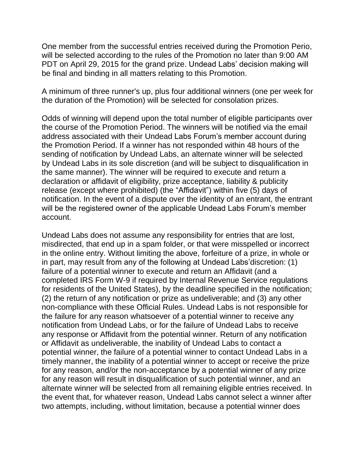One member from the successful entries received during the Promotion Perio, will be selected according to the rules of the Promotion no later than 9:00 AM PDT on April 29, 2015 for the grand prize. Undead Labs' decision making will be final and binding in all matters relating to this Promotion.

A minimum of three runner's up, plus four additional winners (one per week for the duration of the Promotion) will be selected for consolation prizes.

Odds of winning will depend upon the total number of eligible participants over the course of the Promotion Period. The winners will be notified via the email address associated with their Undead Labs Forum's member account during the Promotion Period. If a winner has not responded within 48 hours of the sending of notification by Undead Labs, an alternate winner will be selected by Undead Labs in its sole discretion (and will be subject to disqualification in the same manner). The winner will be required to execute and return a declaration or affidavit of eligibility, prize acceptance, liability & publicity release (except where prohibited) (the "Affidavit") within five (5) days of notification. In the event of a dispute over the identity of an entrant, the entrant will be the registered owner of the applicable Undead Labs Forum's member account.

Undead Labs does not assume any responsibility for entries that are lost, misdirected, that end up in a spam folder, or that were misspelled or incorrect in the online entry. Without limiting the above, forfeiture of a prize, in whole or in part, may result from any of the following at Undead Labs'discretion: (1) failure of a potential winner to execute and return an Affidavit (and a completed IRS Form W-9 if required by Internal Revenue Service regulations for residents of the United States), by the deadline specified in the notification; (2) the return of any notification or prize as undeliverable; and (3) any other non-compliance with these Official Rules. Undead Labs is not responsible for the failure for any reason whatsoever of a potential winner to receive any notification from Undead Labs, or for the failure of Undead Labs to receive any response or Affidavit from the potential winner. Return of any notification or Affidavit as undeliverable, the inability of Undead Labs to contact a potential winner, the failure of a potential winner to contact Undead Labs in a timely manner, the inability of a potential winner to accept or receive the prize for any reason, and/or the non-acceptance by a potential winner of any prize for any reason will result in disqualification of such potential winner, and an alternate winner will be selected from all remaining eligible entries received. In the event that, for whatever reason, Undead Labs cannot select a winner after two attempts, including, without limitation, because a potential winner does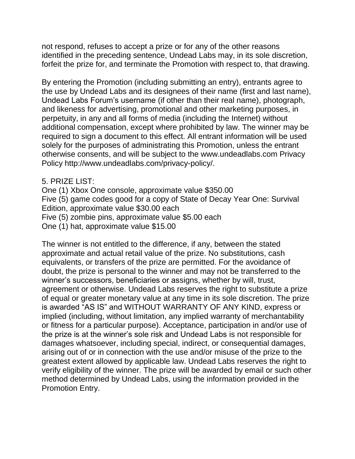not respond, refuses to accept a prize or for any of the other reasons identified in the preceding sentence, Undead Labs may, in its sole discretion, forfeit the prize for, and terminate the Promotion with respect to, that drawing.

By entering the Promotion (including submitting an entry), entrants agree to the use by Undead Labs and its designees of their name (first and last name), Undead Labs Forum's username (if other than their real name), photograph, and likeness for advertising, promotional and other marketing purposes, in perpetuity, in any and all forms of media (including the Internet) without additional compensation, except where prohibited by law. The winner may be required to sign a document to this effect. All entrant information will be used solely for the purposes of administrating this Promotion, unless the entrant otherwise consents, and will be subject to the www.undeadlabs.com Privacy Policy http://www.undeadlabs.com/privacy-policy/.

5. PRIZE LIST:

One (1) Xbox One console, approximate value \$350.00 Five (5) game codes good for a copy of State of Decay Year One: Survival Edition, approximate value \$30.00 each Five (5) zombie pins, approximate value \$5.00 each One (1) hat, approximate value \$15.00

The winner is not entitled to the difference, if any, between the stated approximate and actual retail value of the prize. No substitutions, cash equivalents, or transfers of the prize are permitted. For the avoidance of doubt, the prize is personal to the winner and may not be transferred to the winner's successors, beneficiaries or assigns, whether by will, trust, agreement or otherwise. Undead Labs reserves the right to substitute a prize of equal or greater monetary value at any time in its sole discretion. The prize is awarded "AS IS" and WITHOUT WARRANTY OF ANY KIND, express or implied (including, without limitation, any implied warranty of merchantability or fitness for a particular purpose). Acceptance, participation in and/or use of the prize is at the winner's sole risk and Undead Labs is not responsible for damages whatsoever, including special, indirect, or consequential damages, arising out of or in connection with the use and/or misuse of the prize to the greatest extent allowed by applicable law. Undead Labs reserves the right to verify eligibility of the winner. The prize will be awarded by email or such other method determined by Undead Labs, using the information provided in the Promotion Entry.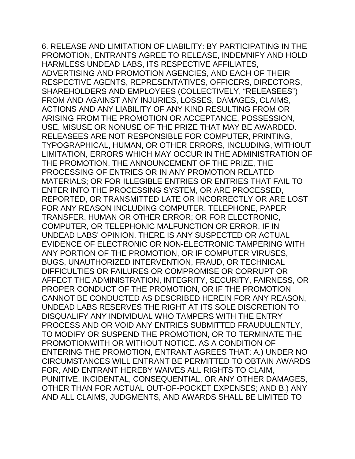6. RELEASE AND LIMITATION OF LIABILITY: BY PARTICIPATING IN THE PROMOTION, ENTRANTS AGREE TO RELEASE, INDEMNIFY AND HOLD HARMLESS UNDEAD LABS, ITS RESPECTIVE AFFILIATES, ADVERTISING AND PROMOTION AGENCIES, AND EACH OF THEIR RESPECTIVE AGENTS, REPRESENTATIVES, OFFICERS, DIRECTORS, SHAREHOLDERS AND EMPLOYEES (COLLECTIVELY, "RELEASEES") FROM AND AGAINST ANY INJURIES, LOSSES, DAMAGES, CLAIMS, ACTIONS AND ANY LIABILITY OF ANY KIND RESULTING FROM OR ARISING FROM THE PROMOTION OR ACCEPTANCE, POSSESSION, USE, MISUSE OR NONUSE OF THE PRIZE THAT MAY BE AWARDED. RELEASEES ARE NOT RESPONSIBLE FOR COMPUTER, PRINTING, TYPOGRAPHICAL, HUMAN, OR OTHER ERRORS, INCLUDING, WITHOUT LIMITATION, ERRORS WHICH MAY OCCUR IN THE ADMINISTRATION OF THE PROMOTION, THE ANNOUNCEMENT OF THE PRIZE, THE PROCESSING OF ENTRIES OR IN ANY PROMOTION RELATED MATERIALS; OR FOR ILLEGIBLE ENTRIES OR ENTRIES THAT FAIL TO ENTER INTO THE PROCESSING SYSTEM, OR ARE PROCESSED, REPORTED, OR TRANSMITTED LATE OR INCORRECTLY OR ARE LOST FOR ANY REASON INCLUDING COMPUTER, TELEPHONE, PAPER TRANSFER, HUMAN OR OTHER ERROR; OR FOR ELECTRONIC, COMPUTER, OR TELEPHONIC MALFUNCTION OR ERROR. IF IN UNDEAD LABS' OPINION, THERE IS ANY SUSPECTED OR ACTUAL EVIDENCE OF ELECTRONIC OR NON-ELECTRONIC TAMPERING WITH ANY PORTION OF THE PROMOTION, OR IF COMPUTER VIRUSES, BUGS, UNAUTHORIZED INTERVENTION, FRAUD, OR TECHNICAL DIFFICULTIES OR FAILURES OR COMPROMISE OR CORRUPT OR AFFECT THE ADMINISTRATION, INTEGRITY, SECURITY, FAIRNESS, OR PROPER CONDUCT OF THE PROMOTION, OR IF THE PROMOTION CANNOT BE CONDUCTED AS DESCRIBED HEREIN FOR ANY REASON, UNDEAD LABS RESERVES THE RIGHT AT ITS SOLE DISCRETION TO DISQUALIFY ANY INDIVIDUAL WHO TAMPERS WITH THE ENTRY PROCESS AND OR VOID ANY ENTRIES SUBMITTED FRAUDULENTLY, TO MODIFY OR SUSPEND THE PROMOTION, OR TO TERMINATE THE PROMOTIONWITH OR WITHOUT NOTICE. AS A CONDITION OF ENTERING THE PROMOTION, ENTRANT AGREES THAT: A.) UNDER NO CIRCUMSTANCES WILL ENTRANT BE PERMITTED TO OBTAIN AWARDS FOR, AND ENTRANT HEREBY WAIVES ALL RIGHTS TO CLAIM, PUNITIVE, INCIDENTAL, CONSEQUENTIAL, OR ANY OTHER DAMAGES, OTHER THAN FOR ACTUAL OUT-OF-POCKET EXPENSES; AND B.) ANY AND ALL CLAIMS, JUDGMENTS, AND AWARDS SHALL BE LIMITED TO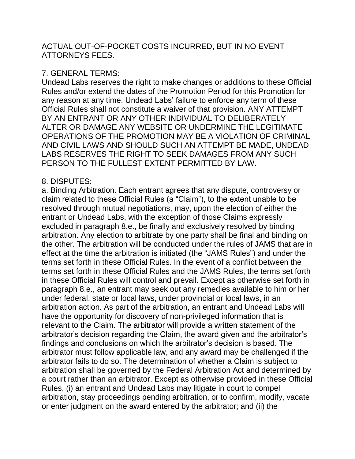## ACTUAL OUT-OF-POCKET COSTS INCURRED, BUT IN NO EVENT ATTORNEYS FEES.

# 7. GENERAL TERMS:

Undead Labs reserves the right to make changes or additions to these Official Rules and/or extend the dates of the Promotion Period for this Promotion for any reason at any time. Undead Labs' failure to enforce any term of these Official Rules shall not constitute a waiver of that provision. ANY ATTEMPT BY AN ENTRANT OR ANY OTHER INDIVIDUAL TO DELIBERATELY ALTER OR DAMAGE ANY WEBSITE OR UNDERMINE THE LEGITIMATE OPERATIONS OF THE PROMOTION MAY BE A VIOLATION OF CRIMINAL AND CIVIL LAWS AND SHOULD SUCH AN ATTEMPT BE MADE, UNDEAD LABS RESERVES THE RIGHT TO SEEK DAMAGES FROM ANY SUCH PERSON TO THE FULLEST EXTENT PERMITTED BY LAW.

## 8. DISPUTES:

a. Binding Arbitration. Each entrant agrees that any dispute, controversy or claim related to these Official Rules (a "Claim"), to the extent unable to be resolved through mutual negotiations, may, upon the election of either the entrant or Undead Labs, with the exception of those Claims expressly excluded in paragraph 8.e., be finally and exclusively resolved by binding arbitration. Any election to arbitrate by one party shall be final and binding on the other. The arbitration will be conducted under the rules of JAMS that are in effect at the time the arbitration is initiated (the "JAMS Rules") and under the terms set forth in these Official Rules. In the event of a conflict between the terms set forth in these Official Rules and the JAMS Rules, the terms set forth in these Official Rules will control and prevail. Except as otherwise set forth in paragraph 8.e., an entrant may seek out any remedies available to him or her under federal, state or local laws, under provincial or local laws, in an arbitration action. As part of the arbitration, an entrant and Undead Labs will have the opportunity for discovery of non-privileged information that is relevant to the Claim. The arbitrator will provide a written statement of the arbitrator's decision regarding the Claim, the award given and the arbitrator's findings and conclusions on which the arbitrator's decision is based. The arbitrator must follow applicable law, and any award may be challenged if the arbitrator fails to do so. The determination of whether a Claim is subject to arbitration shall be governed by the Federal Arbitration Act and determined by a court rather than an arbitrator. Except as otherwise provided in these Official Rules, (i) an entrant and Undead Labs may litigate in court to compel arbitration, stay proceedings pending arbitration, or to confirm, modify, vacate or enter judgment on the award entered by the arbitrator; and (ii) the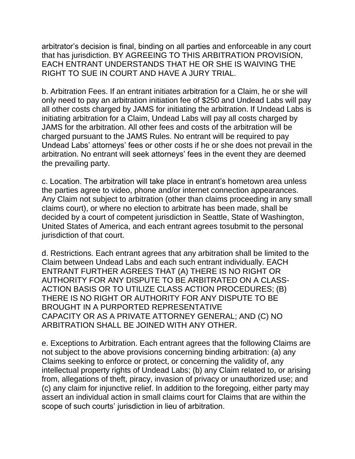arbitrator's decision is final, binding on all parties and enforceable in any court that has jurisdiction. BY AGREEING TO THIS ARBITRATION PROVISION, EACH ENTRANT UNDERSTANDS THAT HE OR SHE IS WAIVING THE RIGHT TO SUE IN COURT AND HAVE A JURY TRIAL.

b. Arbitration Fees. If an entrant initiates arbitration for a Claim, he or she will only need to pay an arbitration initiation fee of \$250 and Undead Labs will pay all other costs charged by JAMS for initiating the arbitration. If Undead Labs is initiating arbitration for a Claim, Undead Labs will pay all costs charged by JAMS for the arbitration. All other fees and costs of the arbitration will be charged pursuant to the JAMS Rules. No entrant will be required to pay Undead Labs' attorneys' fees or other costs if he or she does not prevail in the arbitration. No entrant will seek attorneys' fees in the event they are deemed the prevailing party.

c. Location. The arbitration will take place in entrant's hometown area unless the parties agree to video, phone and/or internet connection appearances. Any Claim not subject to arbitration (other than claims proceeding in any small claims court), or where no election to arbitrate has been made, shall be decided by a court of competent jurisdiction in Seattle, State of Washington, United States of America, and each entrant agrees tosubmit to the personal jurisdiction of that court.

d. Restrictions. Each entrant agrees that any arbitration shall be limited to the Claim between Undead Labs and each such entrant individually. EACH ENTRANT FURTHER AGREES THAT (A) THERE IS NO RIGHT OR AUTHORITY FOR ANY DISPUTE TO BE ARBITRATED ON A CLASS-ACTION BASIS OR TO UTILIZE CLASS ACTION PROCEDURES; (B) THERE IS NO RIGHT OR AUTHORITY FOR ANY DISPUTE TO BE BROUGHT IN A PURPORTED REPRESENTATIVE CAPACITY OR AS A PRIVATE ATTORNEY GENERAL; AND (C) NO ARBITRATION SHALL BE JOINED WITH ANY OTHER.

e. Exceptions to Arbitration. Each entrant agrees that the following Claims are not subject to the above provisions concerning binding arbitration: (a) any Claims seeking to enforce or protect, or concerning the validity of, any intellectual property rights of Undead Labs; (b) any Claim related to, or arising from, allegations of theft, piracy, invasion of privacy or unauthorized use; and (c) any claim for injunctive relief. In addition to the foregoing, either party may assert an individual action in small claims court for Claims that are within the scope of such courts' jurisdiction in lieu of arbitration.